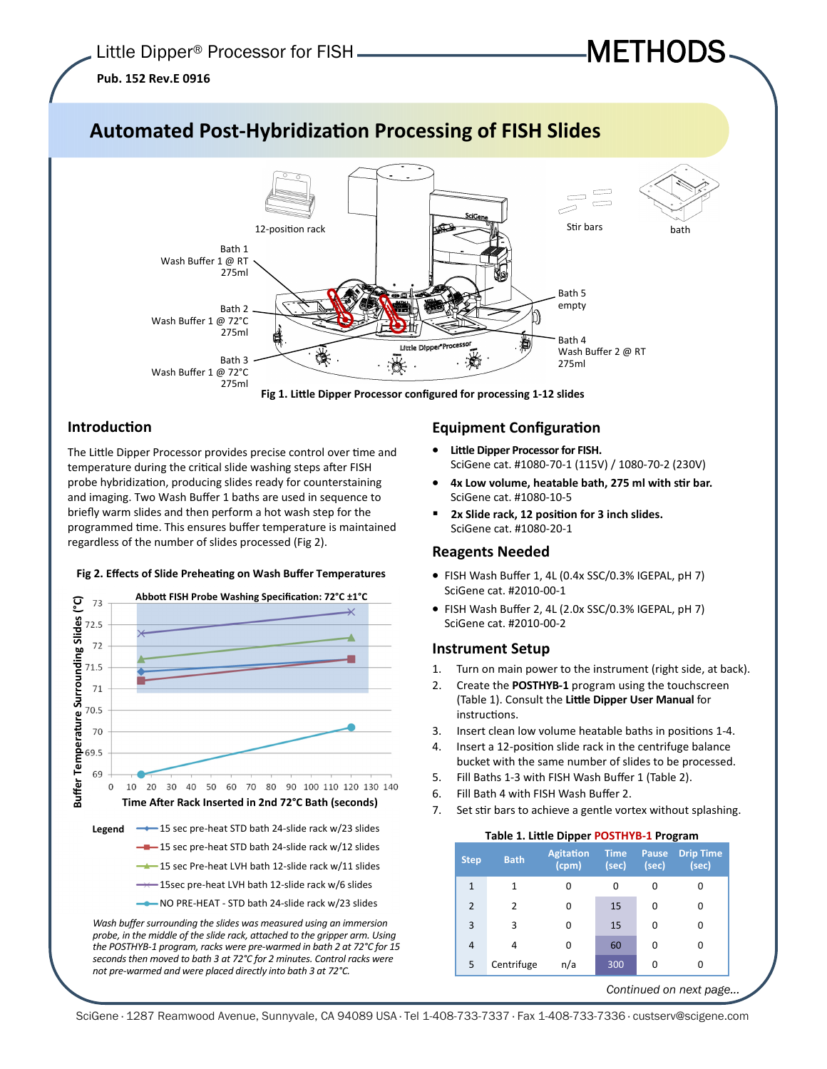# **Pub. 152 Rev.E 0916**



## **IntroducƟon**

The Little Dipper Processor provides precise control over time and temperature during the critical slide washing steps after FISH probe hybridization, producing slides ready for counterstaining and imaging. Two Wash Buffer 1 baths are used in sequence to briefly warm slides and then perform a hot wash step for the programmed time. This ensures buffer temperature is maintained regardless of the number of slides processed (Fig 2).

### **Fig 2. Effects of Slide PreheaƟng on Wash Buffer Temperatures**



*not pre-warmed and were placed directly into bath 3 at 72°C.* 

## **Equipment Configuration**

• **Little Dipper Processor for FISH.** SciGene cat. #1080-70-1 (115V) / 1080-70-2 (230V)

METHODS

- 4x Low volume, heatable bath, 275 ml with stir bar. SciGene cat. #1080-10-5
- 2x Slide rack, 12 position for 3 inch slides. SciGene cat. #1080-20-1

### **Reagents Needed**

- FISH Wash Buffer 1, 4L (0.4x SSC/0.3% IGEPAL, pH 7) SciGene cat. #2010-00-1
- FISH Wash Buffer 2, 4L (2.0x SSC/0.3% IGEPAL, pH 7) SciGene cat. #2010-00-2

### **Instrument Setup**

- 1. Turn on main power to the instrument (right side, at back).
- 2. Create the **POSTHYB-1** program using the touchscreen (Table 1). Consult the **LiƩle Dipper User Manual** for instructions.
- 3. Insert clean low volume heatable baths in positions 1-4.
- 4. Insert a 12-position slide rack in the centrifuge balance bucket with the same number of slides to be processed.
- 5. Fill Baths 1-3 with FISH Wash Buffer 1 (Table 2).
- 6. Fill Bath 4 with FISH Wash Buffer 2.
- 7. Set stir bars to achieve a gentle vortex without splashing.

#### **Table 1. LiƩle Dipper POSTHYB-1 Program**

| <b>Step</b>    | <b>Bath</b>   | <b>Agitation</b><br>$ $ (cpm) $ $ | <b>Time</b><br>(sec) | <b>Pause</b><br>(sec) | <b>Drip Time</b><br>(sec) |
|----------------|---------------|-----------------------------------|----------------------|-----------------------|---------------------------|
| $\mathbf{1}$   | 1             | U                                 | 0                    |                       |                           |
| $\overline{2}$ | $\mathcal{P}$ | ŋ                                 | 15                   | 0                     | 0                         |
| 3              | 3             |                                   | 15                   | 0                     | 0                         |
| $\overline{4}$ | 4             | U                                 | 60                   | 0                     | 0                         |
| 5              | Centrifuge    | n/a                               | 300                  | 0                     | O                         |

*Continued on next page...*